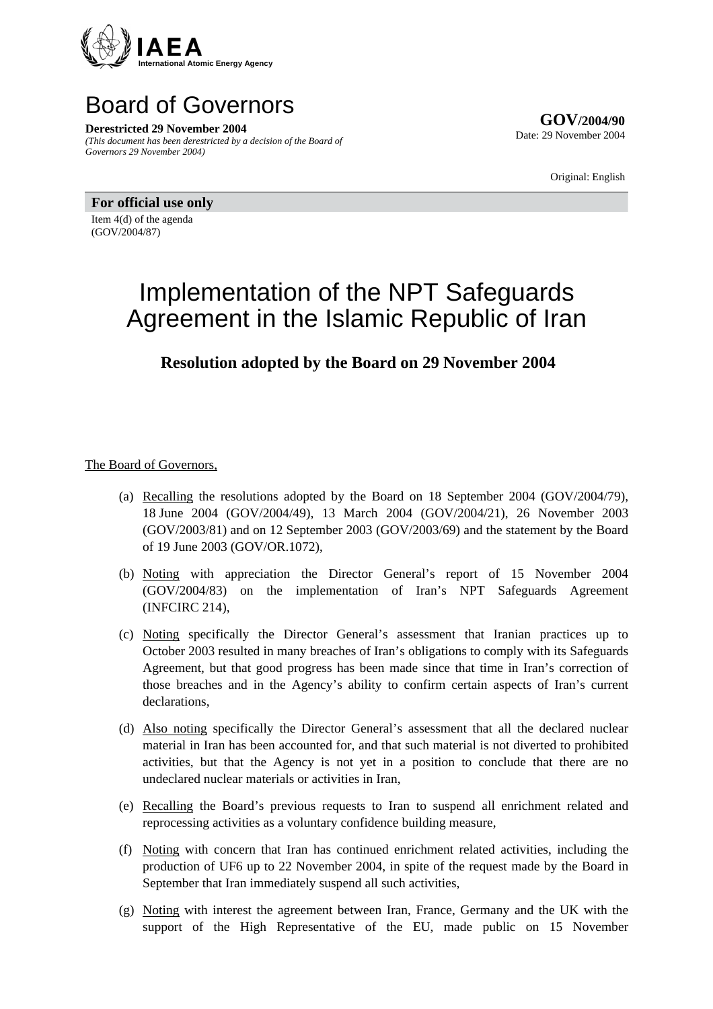

## Board of Governors

**Derestricted 29 November 2004**  *(This document has been derestricted by a decision of the Board of Governors 29 November 2004)*

**GOV/2004/90** Date: 29 November 2004

Original: English

**For official use only**  Item 4(d) of the agenda (GOV/2004/87)

## Implementation of the NPT Safeguards Agreement in the Islamic Republic of Iran

## **Resolution adopted by the Board on 29 November 2004**

The Board of Governors,

- (a) Recalling the resolutions adopted by the Board on 18 September 2004 (GOV/2004/79), 18 June 2004 (GOV/2004/49), 13 March 2004 (GOV/2004/21), 26 November 2003 (GOV/2003/81) and on 12 September 2003 (GOV/2003/69) and the statement by the Board of 19 June 2003 (GOV/OR.1072),
- (b) Noting with appreciation the Director General's report of 15 November 2004 (GOV/2004/83) on the implementation of Iran's NPT Safeguards Agreement (INFCIRC 214),
- (c) Noting specifically the Director General's assessment that Iranian practices up to October 2003 resulted in many breaches of Iran's obligations to comply with its Safeguards Agreement, but that good progress has been made since that time in Iran's correction of those breaches and in the Agency's ability to confirm certain aspects of Iran's current declarations,
- (d) Also noting specifically the Director General's assessment that all the declared nuclear material in Iran has been accounted for, and that such material is not diverted to prohibited activities, but that the Agency is not yet in a position to conclude that there are no undeclared nuclear materials or activities in Iran,
- (e) Recalling the Board's previous requests to Iran to suspend all enrichment related and reprocessing activities as a voluntary confidence building measure,
- (f) Noting with concern that Iran has continued enrichment related activities, including the production of UF6 up to 22 November 2004, in spite of the request made by the Board in September that Iran immediately suspend all such activities,
- (g) Noting with interest the agreement between Iran, France, Germany and the UK with the support of the High Representative of the EU, made public on 15 November